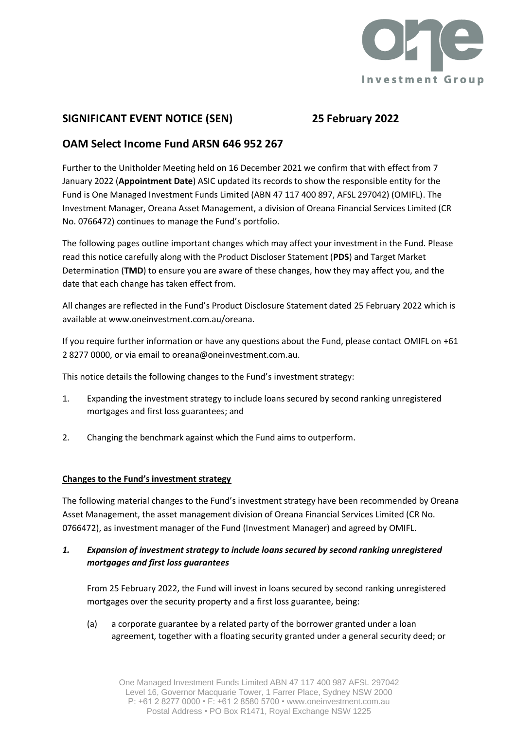

# **SIGNIFICANT EVENT NOTICE (SEN) 25 February 2022**

## **OAM Select Income Fund ARSN 646 952 267**

Further to the Unitholder Meeting held on 16 December 2021 we confirm that with effect from 7 January 2022 (**Appointment Date**) ASIC updated its records to show the responsible entity for the Fund is One Managed Investment Funds Limited (ABN 47 117 400 897, AFSL 297042) (OMIFL). The Investment Manager, Oreana Asset Management, a division of Oreana Financial Services Limited (CR No. 0766472) continues to manage the Fund's portfolio.

The following pages outline important changes which may affect your investment in the Fund. Please read this notice carefully along with the Product Discloser Statement (**PDS**) and Target Market Determination (**TMD**) to ensure you are aware of these changes, how they may affect you, and the date that each change has taken effect from.

All changes are reflected in the Fund's Product Disclosure Statement dated 25 February 2022 which is available at www.oneinvestment.com.au/oreana.

If you require further information or have any questions about the Fund, please contact OMIFL on +61 2 8277 0000, or via email to oreana@oneinvestment.com.au.

This notice details the following changes to the Fund's investment strategy:

- 1. Expanding the investment strategy to include loans secured by second ranking unregistered mortgages and first loss guarantees; and
- 2. Changing the benchmark against which the Fund aims to outperform.

### **Changes to the Fund's investment strategy**

The following material changes to the Fund's investment strategy have been recommended by Oreana Asset Management, the asset management division of Oreana Financial Services Limited (CR No. 0766472), as investment manager of the Fund (Investment Manager) and agreed by OMIFL.

### *1. Expansion of investment strategy to include loans secured by second ranking unregistered mortgages and first loss guarantees*

From 25 February 2022, the Fund will invest in loans secured by second ranking unregistered mortgages over the security property and a first loss guarantee, being:

(a) a corporate guarantee by a related party of the borrower granted under a loan agreement, together with a floating security granted under a general security deed; or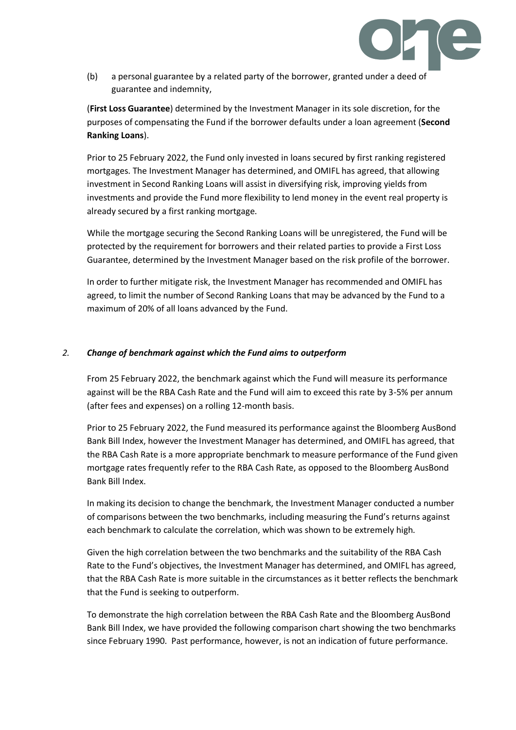

(b) a personal guarantee by a related party of the borrower, granted under a deed of guarantee and indemnity,

(**First Loss Guarantee**) determined by the Investment Manager in its sole discretion, for the purposes of compensating the Fund if the borrower defaults under a loan agreement (**Second Ranking Loans**).

Prior to 25 February 2022, the Fund only invested in loans secured by first ranking registered mortgages. The Investment Manager has determined, and OMIFL has agreed, that allowing investment in Second Ranking Loans will assist in diversifying risk, improving yields from investments and provide the Fund more flexibility to lend money in the event real property is already secured by a first ranking mortgage.

While the mortgage securing the Second Ranking Loans will be unregistered, the Fund will be protected by the requirement for borrowers and their related parties to provide a First Loss Guarantee, determined by the Investment Manager based on the risk profile of the borrower.

In order to further mitigate risk, the Investment Manager has recommended and OMIFL has agreed, to limit the number of Second Ranking Loans that may be advanced by the Fund to a maximum of 20% of all loans advanced by the Fund.

#### *2. Change of benchmark against which the Fund aims to outperform*

From 25 February 2022, the benchmark against which the Fund will measure its performance against will be the RBA Cash Rate and the Fund will aim to exceed this rate by 3-5% per annum (after fees and expenses) on a rolling 12-month basis.

Prior to 25 February 2022, the Fund measured its performance against the Bloomberg AusBond Bank Bill Index, however the Investment Manager has determined, and OMIFL has agreed, that the RBA Cash Rate is a more appropriate benchmark to measure performance of the Fund given mortgage rates frequently refer to the RBA Cash Rate, as opposed to the Bloomberg AusBond Bank Bill Index.

In making its decision to change the benchmark, the Investment Manager conducted a number of comparisons between the two benchmarks, including measuring the Fund's returns against each benchmark to calculate the correlation, which was shown to be extremely high.

Given the high correlation between the two benchmarks and the suitability of the RBA Cash Rate to the Fund's objectives, the Investment Manager has determined, and OMIFL has agreed, that the RBA Cash Rate is more suitable in the circumstances as it better reflects the benchmark that the Fund is seeking to outperform.

To demonstrate the high correlation between the RBA Cash Rate and the Bloomberg AusBond Bank Bill Index, we have provided the following comparison chart showing the two benchmarks since February 1990. Past performance, however, is not an indication of future performance.